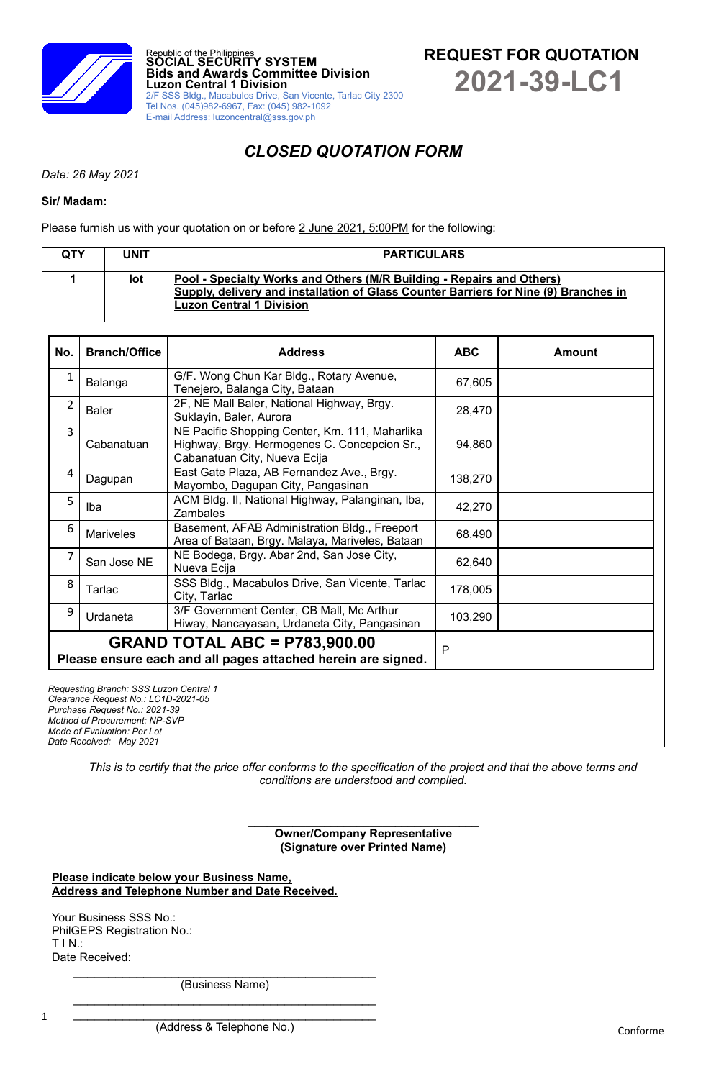

# *CLOSED QUOTATION FORM*

*Date: 26 May 2021*

#### **Sir/ Madam:**

Please furnish us with your quotation on or before 2 June 2021, 5:00PM for the following:

| <b>QTY</b>     |                  | <b>UNIT</b>                                                                                                                                                                    | <b>PARTICULARS</b>                                                                                                                                                                               |            |               |  |  |  |
|----------------|------------------|--------------------------------------------------------------------------------------------------------------------------------------------------------------------------------|--------------------------------------------------------------------------------------------------------------------------------------------------------------------------------------------------|------------|---------------|--|--|--|
| 1              |                  | lot                                                                                                                                                                            | Pool - Specialty Works and Others (M/R Building - Repairs and Others)<br>Supply, delivery and installation of Glass Counter Barriers for Nine (9) Branches in<br><b>Luzon Central 1 Division</b> |            |               |  |  |  |
| No.            |                  | <b>Branch/Office</b>                                                                                                                                                           | <b>Address</b>                                                                                                                                                                                   | <b>ABC</b> | <b>Amount</b> |  |  |  |
| $\mathbf{1}$   | Balanga          |                                                                                                                                                                                | G/F. Wong Chun Kar Bldg., Rotary Avenue,<br>Tenejero, Balanga City, Bataan                                                                                                                       | 67,605     |               |  |  |  |
| $\overline{2}$ | <b>Baler</b>     |                                                                                                                                                                                | 2F, NE Mall Baler, National Highway, Brgy.<br>Suklayin, Baler, Aurora                                                                                                                            | 28,470     |               |  |  |  |
| 3              | Cabanatuan       |                                                                                                                                                                                | NE Pacific Shopping Center, Km. 111, Maharlika<br>Highway, Brgy. Hermogenes C. Concepcion Sr.,<br>Cabanatuan City, Nueva Ecija                                                                   | 94,860     |               |  |  |  |
| 4              | Dagupan          |                                                                                                                                                                                | East Gate Plaza, AB Fernandez Ave., Brgy.<br>Mayombo, Dagupan City, Pangasinan                                                                                                                   | 138,270    |               |  |  |  |
| 5              | Iba              |                                                                                                                                                                                | ACM Bldg. II, National Highway, Palanginan, Iba,<br>Zambales                                                                                                                                     | 42,270     |               |  |  |  |
| 6              | <b>Mariveles</b> |                                                                                                                                                                                | Basement, AFAB Administration Bldg., Freeport<br>Area of Bataan, Brgy. Malaya, Mariveles, Bataan                                                                                                 | 68,490     |               |  |  |  |
| 7              | San Jose NE      |                                                                                                                                                                                | NE Bodega, Brgy. Abar 2nd, San Jose City,<br>Nueva Ecija                                                                                                                                         | 62,640     |               |  |  |  |
| 8              | Tarlac           |                                                                                                                                                                                | SSS Bldg., Macabulos Drive, San Vicente, Tarlac<br>City, Tarlac                                                                                                                                  | 178,005    |               |  |  |  |
| 9              | Urdaneta         |                                                                                                                                                                                | 3/F Government Center, CB Mall, Mc Arthur<br>Hiway, Nancayasan, Urdaneta City, Pangasinan                                                                                                        | 103,290    |               |  |  |  |
|                |                  |                                                                                                                                                                                | <b>GRAND TOTAL ABC = P783,900.00</b><br>Please ensure each and all pages attached herein are signed.                                                                                             | ₽          |               |  |  |  |
|                |                  | Requesting Branch: SSS Luzon Central 1<br>Clearance Request No.: LC1D-2021-05<br>Purchase Request No.: 2021-39<br>Method of Procurement: NP-SVP<br>Mode of Evaluation: Per Lot |                                                                                                                                                                                                  |            |               |  |  |  |

*This is to certify that the price offer conforms to the specification of the project and that the above terms and conditions are understood and complied.*

> **Owner/Company Representative (Signature over Printed Name)**

**Please indicate below your Business Name, Address and Telephone Number and Date Received.**

Your Business SSS No.: PhilGEPS Registration No.: T I N.: Date Received:

*Date Received: May 2021*

 $\mathcal{L}_\text{max}$  , which is a set of the set of the set of the set of the set of the set of the set of the set of the set of the set of the set of the set of the set of the set of the set of the set of the set of the set of (Business Name)  $\mathcal{L}_\text{max}$  , where  $\mathcal{L}_\text{max}$  and  $\mathcal{L}_\text{max}$  and  $\mathcal{L}_\text{max}$  and  $\mathcal{L}_\text{max}$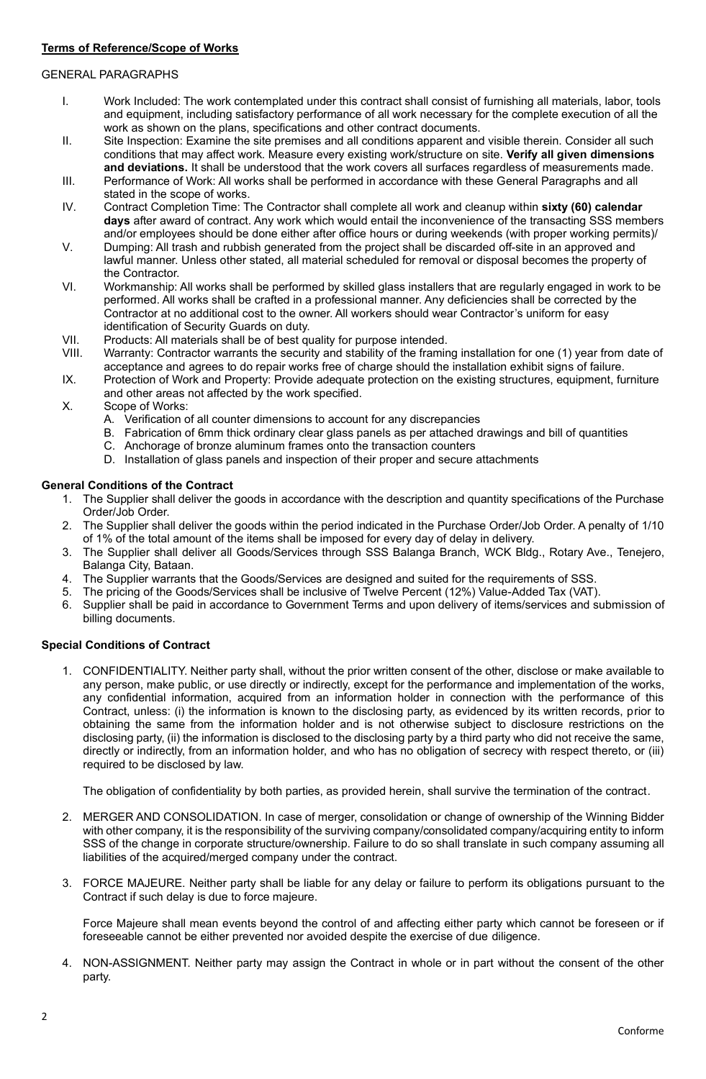## GENERAL PARAGRAPHS

- I. Work Included: The work contemplated under this contract shall consist of furnishing all materials, labor, tools and equipment, including satisfactory performance of all work necessary for the complete execution of all the work as shown on the plans, specifications and other contract documents.
- II. Site Inspection: Examine the site premises and all conditions apparent and visible therein. Consider all such conditions that may affect work. Measure every existing work/structure on site. **Verify all given dimensions and deviations.** It shall be understood that the work covers all surfaces regardless of measurements made.
- III. Performance of Work: All works shall be performed in accordance with these General Paragraphs and all stated in the scope of works.
- IV. Contract Completion Time: The Contractor shall complete all work and cleanup within **sixty (60) calendar days** after award of contract. Any work which would entail the inconvenience of the transacting SSS members and/or employees should be done either after office hours or during weekends (with proper working permits)/
- V. Dumping: All trash and rubbish generated from the project shall be discarded off-site in an approved and lawful manner. Unless other stated, all material scheduled for removal or disposal becomes the property of the Contractor.
- VI. Workmanship: All works shall be performed by skilled glass installers that are regularly engaged in work to be performed. All works shall be crafted in a professional manner. Any deficiencies shall be corrected by the Contractor at no additional cost to the owner. All workers should wear Contractor's uniform for easy identification of Security Guards on duty.
- VII. Products: All materials shall be of best quality for purpose intended.
- VIII. Warranty: Contractor warrants the security and stability of the framing installation for one (1) year from date of acceptance and agrees to do repair works free of charge should the installation exhibit signs of failure.
- IX. Protection of Work and Property: Provide adequate protection on the existing structures, equipment, furniture and other areas not affected by the work specified.
- X. Scope of Works:
	- A. Verification of all counter dimensions to account for any discrepancies
	- B. Fabrication of 6mm thick ordinary clear glass panels as per attached drawings and bill of quantities
	- C. Anchorage of bronze aluminum frames onto the transaction counters
	- D. Installation of glass panels and inspection of their proper and secure attachments

## **General Conditions of the Contract**

- 1. The Supplier shall deliver the goods in accordance with the description and quantity specifications of the Purchase Order/Job Order.
- 2. The Supplier shall deliver the goods within the period indicated in the Purchase Order/Job Order. A penalty of 1/10 of 1% of the total amount of the items shall be imposed for every day of delay in delivery.
- 3. The Supplier shall deliver all Goods/Services through SSS Balanga Branch, WCK Bldg., Rotary Ave., Tenejero, Balanga City, Bataan.
- 4. The Supplier warrants that the Goods/Services are designed and suited for the requirements of SSS.
- 5. The pricing of the Goods/Services shall be inclusive of Twelve Percent (12%) Value-Added Tax (VAT).
- 6. Supplier shall be paid in accordance to Government Terms and upon delivery of items/services and submission of billing documents.

## **Special Conditions of Contract**

1. CONFIDENTIALITY. Neither party shall, without the prior written consent of the other, disclose or make available to any person, make public, or use directly or indirectly, except for the performance and implementation of the works, any confidential information, acquired from an information holder in connection with the performance of this Contract, unless: (i) the information is known to the disclosing party, as evidenced by its written records, prior to obtaining the same from the information holder and is not otherwise subject to disclosure restrictions on the disclosing party, (ii) the information is disclosed to the disclosing party by a third party who did not receive the same, directly or indirectly, from an information holder, and who has no obligation of secrecy with respect thereto, or (iii) required to be disclosed by law.

The obligation of confidentiality by both parties, as provided herein, shall survive the termination of the contract.

- 2. MERGER AND CONSOLIDATION. In case of merger, consolidation or change of ownership of the Winning Bidder with other company, it is the responsibility of the surviving company/consolidated company/acquiring entity to inform SSS of the change in corporate structure/ownership. Failure to do so shall translate in such company assuming all liabilities of the acquired/merged company under the contract.
- 3. FORCE MAJEURE. Neither party shall be liable for any delay or failure to perform its obligations pursuant to the Contract if such delay is due to force majeure.

Force Majeure shall mean events beyond the control of and affecting either party which cannot be foreseen or if foreseeable cannot be either prevented nor avoided despite the exercise of due diligence.

4. NON-ASSIGNMENT. Neither party may assign the Contract in whole or in part without the consent of the other party.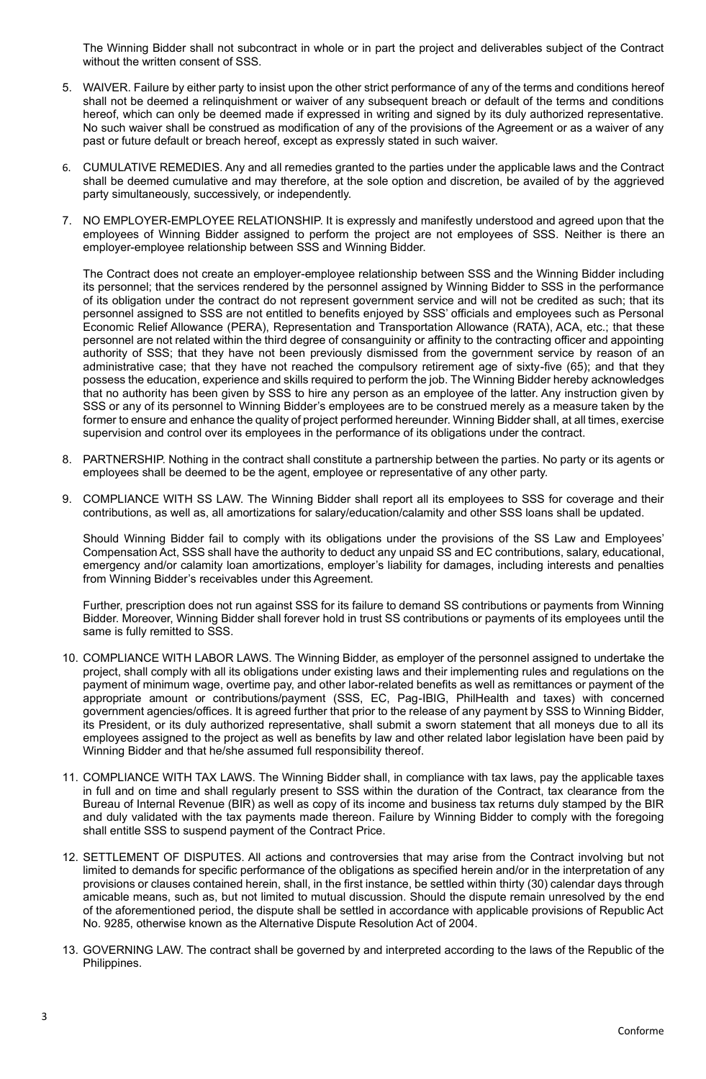The Winning Bidder shall not subcontract in whole or in part the project and deliverables subject of the Contract without the written consent of SSS.

- 5. WAIVER. Failure by either party to insist upon the other strict performance of any of the terms and conditions hereof shall not be deemed a relinquishment or waiver of any subsequent breach or default of the terms and conditions hereof, which can only be deemed made if expressed in writing and signed by its duly authorized representative. No such waiver shall be construed as modification of any of the provisions of the Agreement or as a waiver of any past or future default or breach hereof, except as expressly stated in such waiver.
- 6. CUMULATIVE REMEDIES. Any and all remedies granted to the parties under the applicable laws and the Contract shall be deemed cumulative and may therefore, at the sole option and discretion, be availed of by the aggrieved party simultaneously, successively, or independently.
- 7. NO EMPLOYER-EMPLOYEE RELATIONSHIP. It is expressly and manifestly understood and agreed upon that the employees of Winning Bidder assigned to perform the project are not employees of SSS. Neither is there an employer-employee relationship between SSS and Winning Bidder.

The Contract does not create an employer-employee relationship between SSS and the Winning Bidder including its personnel; that the services rendered by the personnel assigned by Winning Bidder to SSS in the performance of its obligation under the contract do not represent government service and will not be credited as such; that its personnel assigned to SSS are not entitled to benefits enjoyed by SSS' officials and employees such as Personal Economic Relief Allowance (PERA), Representation and Transportation Allowance (RATA), ACA, etc.; that these personnel are not related within the third degree of consanguinity or affinity to the contracting officer and appointing authority of SSS; that they have not been previously dismissed from the government service by reason of an administrative case; that they have not reached the compulsory retirement age of sixty-five (65); and that they possess the education, experience and skills required to perform the job. The Winning Bidder hereby acknowledges that no authority has been given by SSS to hire any person as an employee of the latter. Any instruction given by SSS or any of its personnel to Winning Bidder's employees are to be construed merely as a measure taken by the former to ensure and enhance the quality of project performed hereunder. Winning Bidder shall, at all times, exercise supervision and control over its employees in the performance of its obligations under the contract.

- 8. PARTNERSHIP. Nothing in the contract shall constitute a partnership between the parties. No party or its agents or employees shall be deemed to be the agent, employee or representative of any other party.
- 9. COMPLIANCE WITH SS LAW. The Winning Bidder shall report all its employees to SSS for coverage and their contributions, as well as, all amortizations for salary/education/calamity and other SSS loans shall be updated.

Should Winning Bidder fail to comply with its obligations under the provisions of the SS Law and Employees' Compensation Act, SSS shall have the authority to deduct any unpaid SS and EC contributions, salary, educational, emergency and/or calamity loan amortizations, employer's liability for damages, including interests and penalties from Winning Bidder's receivables under this Agreement.

Further, prescription does not run against SSS for its failure to demand SS contributions or payments from Winning Bidder. Moreover, Winning Bidder shall forever hold in trust SS contributions or payments of its employees until the same is fully remitted to SSS.

- 10. COMPLIANCE WITH LABOR LAWS. The Winning Bidder, as employer of the personnel assigned to undertake the project, shall comply with all its obligations under existing laws and their implementing rules and regulations on the payment of minimum wage, overtime pay, and other labor-related benefits as well as remittances or payment of the appropriate amount or contributions/payment (SSS, EC, Pag-IBIG, PhilHealth and taxes) with concerned government agencies/offices. It is agreed further that prior to the release of any payment by SSS to Winning Bidder, its President, or its duly authorized representative, shall submit a sworn statement that all moneys due to all its employees assigned to the project as well as benefits by law and other related labor legislation have been paid by Winning Bidder and that he/she assumed full responsibility thereof.
- 11. COMPLIANCE WITH TAX LAWS. The Winning Bidder shall, in compliance with tax laws, pay the applicable taxes in full and on time and shall regularly present to SSS within the duration of the Contract, tax clearance from the Bureau of Internal Revenue (BIR) as well as copy of its income and business tax returns duly stamped by the BIR and duly validated with the tax payments made thereon. Failure by Winning Bidder to comply with the foregoing shall entitle SSS to suspend payment of the Contract Price.
- 12. SETTLEMENT OF DISPUTES. All actions and controversies that may arise from the Contract involving but not limited to demands for specific performance of the obligations as specified herein and/or in the interpretation of any provisions or clauses contained herein, shall, in the first instance, be settled within thirty (30) calendar days through amicable means, such as, but not limited to mutual discussion. Should the dispute remain unresolved by the end of the aforementioned period, the dispute shall be settled in accordance with applicable provisions of Republic Act No. 9285, otherwise known as the Alternative Dispute Resolution Act of 2004.
- 13. GOVERNING LAW. The contract shall be governed by and interpreted according to the laws of the Republic of the Philippines.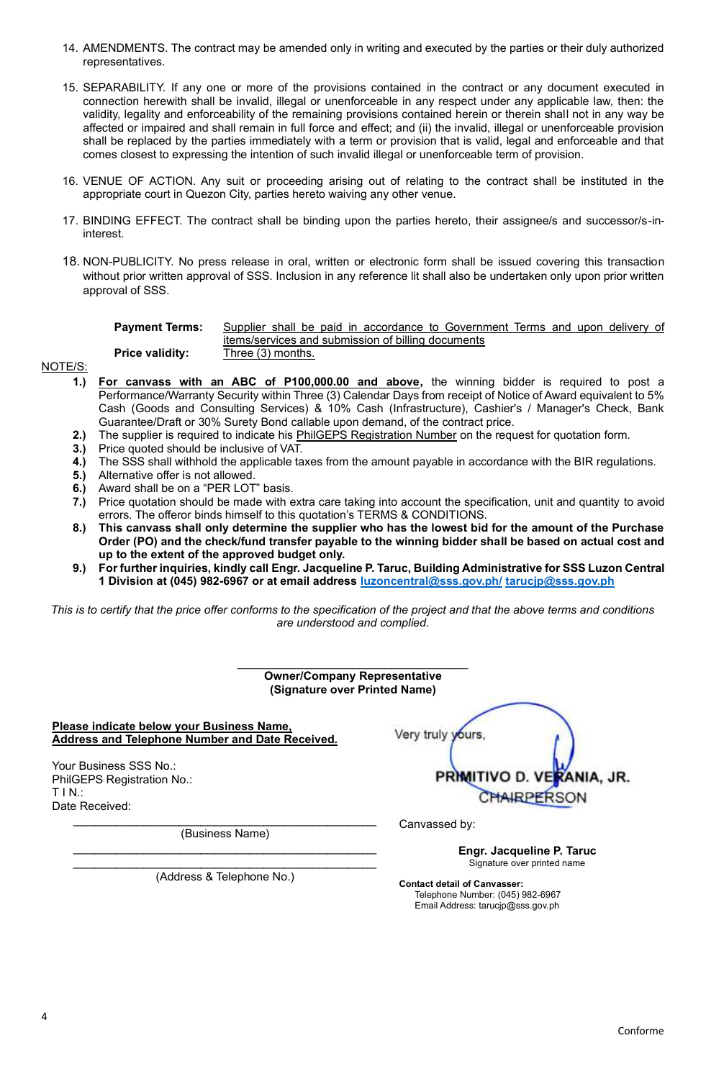- 14. AMENDMENTS. The contract may be amended only in writing and executed by the parties or their duly authorized representatives.
- 15. SEPARABILITY. If any one or more of the provisions contained in the contract or any document executed in connection herewith shall be invalid, illegal or unenforceable in any respect under any applicable law, then: the validity, legality and enforceability of the remaining provisions contained herein or therein shall not in any way be affected or impaired and shall remain in full force and effect; and (ii) the invalid, illegal or unenforceable provision shall be replaced by the parties immediately with a term or provision that is valid, legal and enforceable and that comes closest to expressing the intention of such invalid illegal or unenforceable term of provision.
- 16. VENUE OF ACTION. Any suit or proceeding arising out of relating to the contract shall be instituted in the appropriate court in Quezon City, parties hereto waiving any other venue.
- 17. BINDING EFFECT. The contract shall be binding upon the parties hereto, their assignee/s and successor/s-ininterest.
- 18. NON-PUBLICITY. No press release in oral, written or electronic form shall be issued covering this transaction without prior written approval of SSS. Inclusion in any reference lit shall also be undertaken only upon prior written approval of SSS.

| <b>Payment Terms:</b>  | Supplier shall be paid in accordance to Government Terms and upon delivery of |
|------------------------|-------------------------------------------------------------------------------|
| <b>Price validity:</b> | items/services and submission of billing documents<br>Three (3) months.       |

- **1.) For canvass with an ABC of P100,000.00 and above,** the winning bidder is required to post a Performance/Warranty Security within Three (3) Calendar Days from receipt of Notice of Award equivalent to 5% Cash (Goods and Consulting Services) & 10% Cash (Infrastructure), Cashier's / Manager's Check, Bank Guarantee/Draft or 30% Surety Bond callable upon demand, of the contract price.
- **2.)** The supplier is required to indicate his PhilGEPS Registration Number on the request for quotation form.
- **3.)** Price quoted should be inclusive of VAT.
- **4.)** The SSS shall withhold the applicable taxes from the amount payable in accordance with the BIR regulations.
- **5.)** Alternative offer is not allowed.

NOTE/S:

- **6.)** Award shall be on a "PER LOT" basis.
- **7.)** Price quotation should be made with extra care taking into account the specification, unit and quantity to avoid errors. The offeror binds himself to this quotation's TERMS & CONDITIONS.
- **8.) This canvass shall only determine the supplier who has the lowest bid for the amount of the Purchase Order (PO) and the check/fund transfer payable to the winning bidder shall be based on actual cost and up to the extent of the approved budget only.**
- **9.) For further inquiries, kindly call Engr. Jacqueline P. Taruc, Building Administrative for SSS Luzon Central 1 Division at (045) 982-6967 or at email address [luzoncentral@sss.gov.ph/](mailto:luzoncentral@sss.gov.ph/) [tarucjp@sss.gov.ph](mailto:tarucjp@sss.gov.ph)**

*This is to certify that the price offer conforms to the specification of the project and that the above terms and conditions are understood and complied.*

| <b>Owner/Company Representative</b><br>(Signature over Printed Name)                         |                                                          |  |  |
|----------------------------------------------------------------------------------------------|----------------------------------------------------------|--|--|
| Please indicate below your Business Name,<br>Address and Telephone Number and Date Received. | Very truly yours,                                        |  |  |
| Your Business SSS No.:<br>PhilGEPS Registration No.:<br>TIN:<br>Date Received:               | PRIMITIVO D. VERANIA, JR.<br>CHAIRPERSON                 |  |  |
| (Business Name)                                                                              | Canvassed by:                                            |  |  |
| (Address & Telephone No.)                                                                    | Engr. Jacqueline P. Taruc<br>Signature over printed name |  |  |

**Contact detail of Canvasser:** Telephone Number: (045) 982-6967 Email Address: tarucjp@sss.gov.ph

Conforme